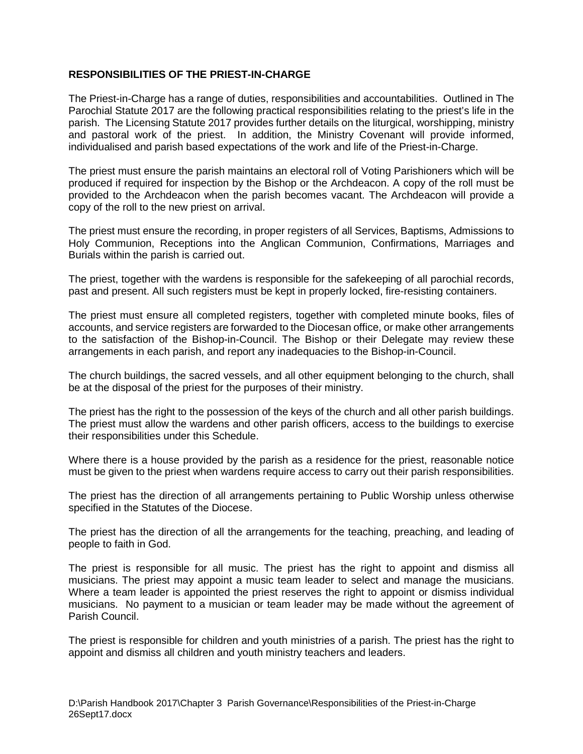## **RESPONSIBILITIES OF THE PRIEST-IN-CHARGE**

The Priest-in-Charge has a range of duties, responsibilities and accountabilities. Outlined in The Parochial Statute 2017 are the following practical responsibilities relating to the priest's life in the parish. The Licensing Statute 2017 provides further details on the liturgical, worshipping, ministry and pastoral work of the priest. In addition, the Ministry Covenant will provide informed, individualised and parish based expectations of the work and life of the Priest-in-Charge.

The priest must ensure the parish maintains an electoral roll of Voting Parishioners which will be produced if required for inspection by the Bishop or the Archdeacon. A copy of the roll must be provided to the Archdeacon when the parish becomes vacant. The Archdeacon will provide a copy of the roll to the new priest on arrival.

The priest must ensure the recording, in proper registers of all Services, Baptisms, Admissions to Holy Communion, Receptions into the Anglican Communion, Confirmations, Marriages and Burials within the parish is carried out.

The priest, together with the wardens is responsible for the safekeeping of all parochial records, past and present. All such registers must be kept in properly locked, fire-resisting containers.

The priest must ensure all completed registers, together with completed minute books, files of accounts, and service registers are forwarded to the Diocesan office, or make other arrangements to the satisfaction of the Bishop-in-Council. The Bishop or their Delegate may review these arrangements in each parish, and report any inadequacies to the Bishop-in-Council.

The church buildings, the sacred vessels, and all other equipment belonging to the church, shall be at the disposal of the priest for the purposes of their ministry.

The priest has the right to the possession of the keys of the church and all other parish buildings. The priest must allow the wardens and other parish officers, access to the buildings to exercise their responsibilities under this Schedule.

Where there is a house provided by the parish as a residence for the priest, reasonable notice must be given to the priest when wardens require access to carry out their parish responsibilities.

The priest has the direction of all arrangements pertaining to Public Worship unless otherwise specified in the Statutes of the Diocese.

The priest has the direction of all the arrangements for the teaching, preaching, and leading of people to faith in God.

The priest is responsible for all music. The priest has the right to appoint and dismiss all musicians. The priest may appoint a music team leader to select and manage the musicians. Where a team leader is appointed the priest reserves the right to appoint or dismiss individual musicians. No payment to a musician or team leader may be made without the agreement of Parish Council.

The priest is responsible for children and youth ministries of a parish. The priest has the right to appoint and dismiss all children and youth ministry teachers and leaders.